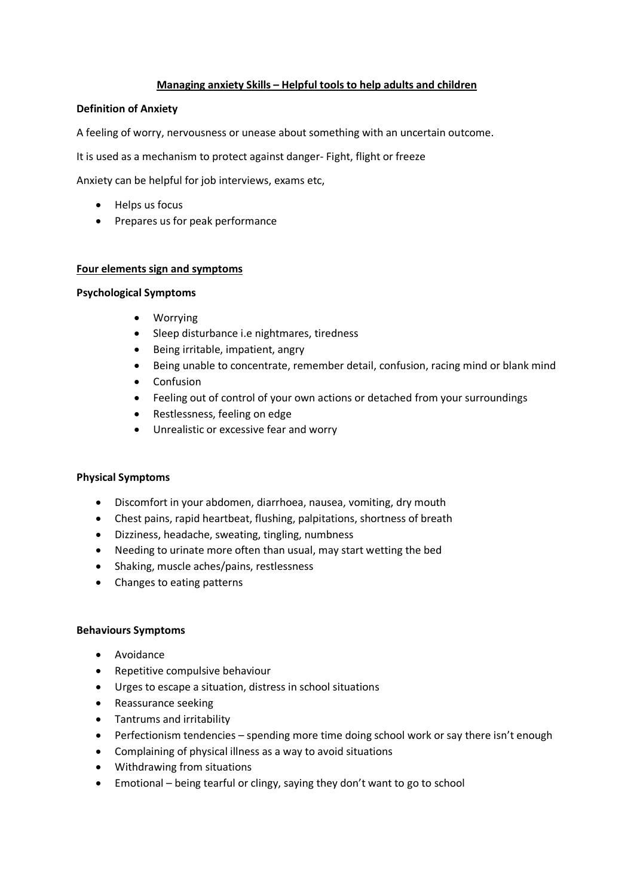# **Managing anxiety Skills – Helpful tools to help adults and children**

### **Definition of Anxiety**

A feeling of worry, nervousness or unease about something with an uncertain outcome.

It is used as a mechanism to protect against danger- Fight, flight or freeze

Anxiety can be helpful for job interviews, exams etc,

- Helps us focus
- Prepares us for peak performance

### **Four elements sign and symptoms**

### **Psychological Symptoms**

- Worrying
- Sleep disturbance i.e nightmares, tiredness
- Being irritable, impatient, angry
- Being unable to concentrate, remember detail, confusion, racing mind or blank mind
- Confusion
- Feeling out of control of your own actions or detached from your surroundings
- Restlessness, feeling on edge
- Unrealistic or excessive fear and worry

### **Physical Symptoms**

- Discomfort in your abdomen, diarrhoea, nausea, vomiting, dry mouth
- Chest pains, rapid heartbeat, flushing, palpitations, shortness of breath
- Dizziness, headache, sweating, tingling, numbness
- Needing to urinate more often than usual, may start wetting the bed
- Shaking, muscle aches/pains, restlessness
- Changes to eating patterns

### **Behaviours Symptoms**

- Avoidance
- Repetitive compulsive behaviour
- Urges to escape a situation, distress in school situations
- Reassurance seeking
- Tantrums and irritability
- Perfectionism tendencies spending more time doing school work or say there isn't enough
- Complaining of physical illness as a way to avoid situations
- Withdrawing from situations
- Emotional being tearful or clingy, saying they don't want to go to school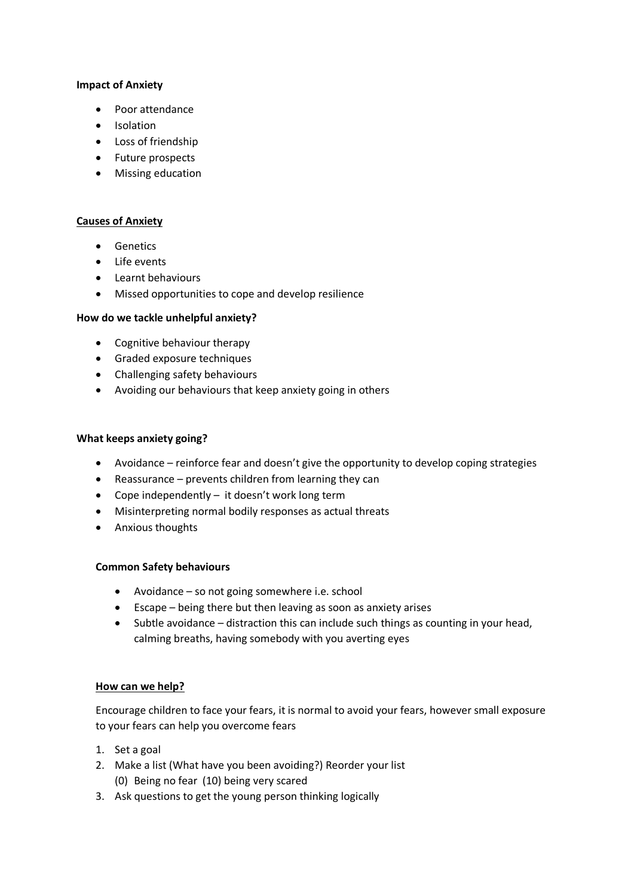# **Impact of Anxiety**

- Poor attendance
- Isolation
- Loss of friendship
- Future prospects
- Missing education

# **Causes of Anxiety**

- Genetics
- Life events
- Learnt behaviours
- Missed opportunities to cope and develop resilience

# **How do we tackle unhelpful anxiety?**

- Cognitive behaviour therapy
- Graded exposure techniques
- Challenging safety behaviours
- Avoiding our behaviours that keep anxiety going in others

# **What keeps anxiety going?**

- Avoidance reinforce fear and doesn't give the opportunity to develop coping strategies
- Reassurance prevents children from learning they can
- Cope independently it doesn't work long term
- Misinterpreting normal bodily responses as actual threats
- Anxious thoughts

### **Common Safety behaviours**

- Avoidance so not going somewhere i.e. school
- Escape being there but then leaving as soon as anxiety arises
- Subtle avoidance distraction this can include such things as counting in your head, calming breaths, having somebody with you averting eyes

### **How can we help?**

Encourage children to face your fears, it is normal to avoid your fears, however small exposure to your fears can help you overcome fears

- 1. Set a goal
- 2. Make a list (What have you been avoiding?) Reorder your list (0) Being no fear (10) being very scared
- 3. Ask questions to get the young person thinking logically